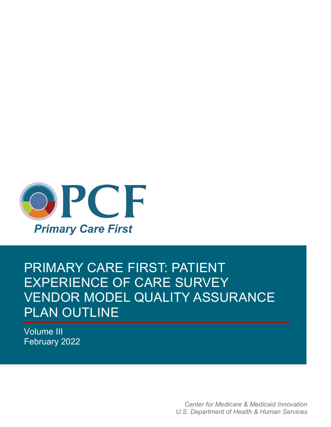

# PRIMARY CARE FIRST: PATIENT EXPERIENCE OF CARE SURVEY VENDOR MODEL QUALITY ASSURANCE PLAN OUTLINE

Volume III February 2022

> *Center for Medicare & Medicaid Innovation U.S. Department of Health & Human Services*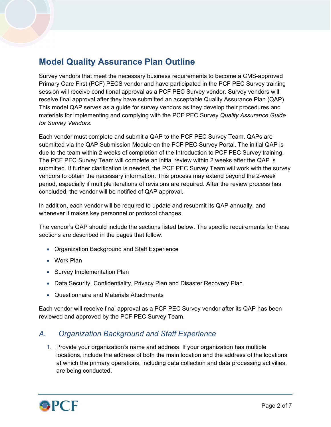## **Model Quality Assurance Plan Outline**

Survey vendors that meet the necessary business requirements to become a CMS-approved Primary Care First (PCF) PECS vendor and have participated in the PCF PEC Survey training session will receive conditional approval as a PCF PEC Survey vendor. Survey vendors will receive final approval after they have submitted an acceptable Quality Assurance Plan (QAP). This model QAP serves as a guide for survey vendors as they develop their procedures and materials for implementing and complying with the PCF PEC Survey *Quality Assurance Guide for Survey Vendors*.

Each vendor must complete and submit a QAP to the PCF PEC Survey Team. QAPs are submitted via the QAP Submission Module on the PCF PEC Survey Portal. The initial QAP is due to the team within 2 weeks of completion of the Introduction to PCF PEC Survey training. The PCF PEC Survey Team will complete an initial review within 2 weeks after the QAP is submitted. If further clarification is needed, the PCF PEC Survey Team will work with the survey vendors to obtain the necessary information. This process may extend beyond the 2-week period, especially if multiple iterations of revisions are required. After the review process has concluded, the vendor will be notified of QAP approval.

In addition, each vendor will be required to update and resubmit its QAP annually, and whenever it makes key personnel or protocol changes.

The vendor's QAP should include the sections listed below. The specific requirements for these sections are described in the pages that follow.

- Organization Background and Staff Experience
- Work Plan
- Survey Implementation Plan
- Data Security, Confidentiality, Privacy Plan and Disaster Recovery Plan
- Questionnaire and Materials Attachments

Each vendor will receive final approval as a PCF PEC Survey vendor after its QAP has been reviewed and approved by the PCF PEC Survey Team.

#### *A. Organization Background and Staff Experience*

1. Provide your organization's name and address. If your organization has multiple locations, include the address of both the main location and the address of the locations at which the primary operations, including data collection and data processing activities, are being conducted.

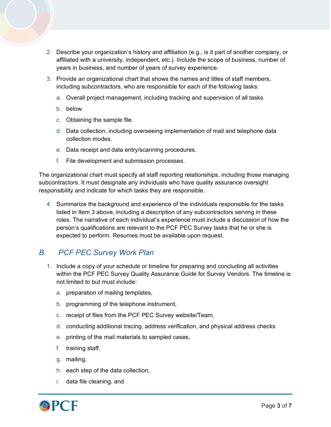- 2. Describe your organization's history and affiliation (e.g., is it part of another company, or affiliated with a university, independent, etc.). Include the scope of business, number of years in business, and number of years of survey experience.
- 3. Provide an organizational chart that shows the names and titles of staff members, including subcontractors, who are responsible for each of the following tasks:
	- a. Overall project management, including tracking and supervision of all tasks
	- b. below.
	- c. Obtaining the sample file.
	- d. Data collection, including overseeing implementation of mail and telephone data collection modes.
	- e. Data receipt and data entry/scanning procedures.
	- f. File development and submission processes.

The organizational chart must specify all staff reporting relationships, including those managing subcontractors. It must designate any individuals who have quality assurance oversight responsibility and indicate for which tasks they are responsible.

4. Summarize the background and experience of the individuals responsible for the tasks listed in Item 3 above, including a description of any subcontractors serving in these roles. The narrative of each individual's experience must include a discussion of how the person's qualifications are relevant to the PCF PEC Survey tasks that he or she is expected to perform. Resumes must be available upon request.

#### *B. PCF PEC Survey Work Plan*

- 1. Include a copy of your schedule or timeline for preparing and concluding all activities within the PCF PEC Survey Quality Assurance Guide for Survey Vendors. The timeline is not limited to but must include:
	- a. preparation of mailing templates,
	- b. programming of the telephone instrument,
	- c. receipt of files from the PCF PEC Survey website/Team,
	- d. conducting additional tracing, address verification, and physical address checks
	- e. printing of the mail materials to sampled cases,
	- f. training staff,
	- g. mailing,
	- h. each step of the data collection,
	- i. data file cleaning, and

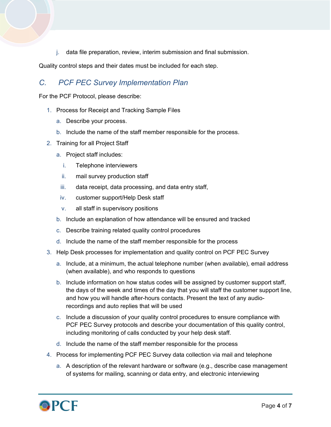j. data file preparation, review, interim submission and final submission.

Quality control steps and their dates must be included for each step.

### *C. PCF PEC Survey Implementation Plan*

For the PCF Protocol, please describe:

- 1. Process for Receipt and Tracking Sample Files
	- a. Describe your process.
	- b. Include the name of the staff member responsible for the process.
- 2. Training for all Project Staff
	- a. Project staff includes:
		- i. Telephone interviewers
		- ii. mail survey production staff
		- iii. data receipt, data processing, and data entry staff,
	- iv. customer support/Help Desk staff
	- v. all staff in supervisory positions
	- b. Include an explanation of how attendance will be ensured and tracked
	- c. Describe training related quality control procedures
	- d. Include the name of the staff member responsible for the process
- 3. Help Desk processes for implementation and quality control on PCF PEC Survey
	- a. Include, at a minimum, the actual telephone number (when available), email address (when available), and who responds to questions
	- b. Include information on how status codes will be assigned by customer support staff, the days of the week and times of the day that you will staff the customer support line, and how you will handle after-hours contacts. Present the text of any audiorecordings and auto replies that will be used
	- c. Include a discussion of your quality control procedures to ensure compliance with PCF PEC Survey protocols and describe your documentation of this quality control, including monitoring of calls conducted by your help desk staff.
	- d. Include the name of the staff member responsible for the process
- 4. Process for implementing PCF PEC Survey data collection via mail and telephone
	- a. A description of the relevant hardware or software (e.g., describe case management of systems for mailing, scanning or data entry, and electronic interviewing

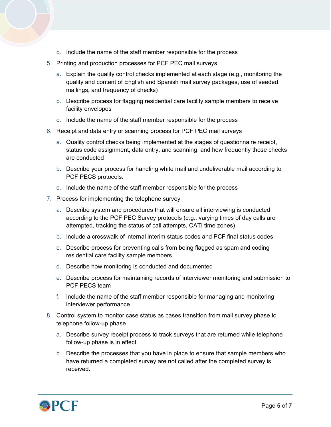- b. Include the name of the staff member responsible for the process
- 5. Printing and production processes for PCF PEC mail surveys
	- a. Explain the quality control checks implemented at each stage (e.g., monitoring the quality and content of English and Spanish mail survey packages, use of seeded mailings, and frequency of checks)
	- b. Describe process for flagging residential care facility sample members to receive facility envelopes
	- c. Include the name of the staff member responsible for the process
- 6. Receipt and data entry or scanning process for PCF PEC mail surveys
	- a. Quality control checks being implemented at the stages of questionnaire receipt, status code assignment, data entry, and scanning, and how frequently those checks are conducted
	- b. Describe your process for handling white mail and undeliverable mail according to PCF PECS protocols.
	- c. Include the name of the staff member responsible for the process
- 7. Process for implementing the telephone survey
	- a. Describe system and procedures that will ensure all interviewing is conducted according to the PCF PEC Survey protocols (e.g., varying times of day calls are attempted, tracking the status of call attempts, CATI time zones)
	- b. Include a crosswalk of internal interim status codes and PCF final status codes
	- c. Describe process for preventing calls from being flagged as spam and coding residential care facility sample members
	- d. Describe how monitoring is conducted and documented
	- e. Describe process for maintaining records of interviewer monitoring and submission to PCF PECS team
	- f. Include the name of the staff member responsible for managing and monitoring interviewer performance
- 8. Control system to monitor case status as cases transition from mail survey phase to telephone follow-up phase
	- a. Describe survey receipt process to track surveys that are returned while telephone follow-up phase is in effect
	- b. Describe the processes that you have in place to ensure that sample members who have returned a completed survey are not called after the completed survey is received.

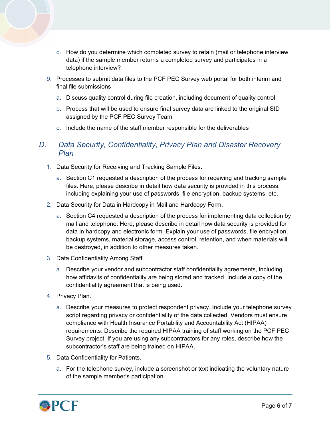- c. How do you determine which completed survey to retain (mail or telephone interview data) if the sample member returns a completed survey and participates in a telephone interview?
- 9. Processes to submit data files to the PCF PEC Survey web portal for both interim and final file submissions
	- a. Discuss quality control during file creation, including document of quality control
	- b. Process that will be used to ensure final survey data are linked to the original SID assigned by the PCF PEC Survey Team
	- c. Include the name of the staff member responsible for the deliverables

#### *D. Data Security, Confidentiality, Privacy Plan and Disaster Recovery Plan*

- 1. Data Security for Receiving and Tracking Sample Files.
	- a. Section C1 requested a description of the process for receiving and tracking sample files. Here, please describe in detail how data security is provided in this process, including explaining your use of passwords, file encryption, backup systems, etc.
- 2. Data Security for Data in Hardcopy in Mail and Hardcopy Form.
	- a. Section C4 requested a description of the process for implementing data collection by mail and telephone. Here, please describe in detail how data security is provided for data in hardcopy and electronic form. Explain your use of passwords, file encryption, backup systems, material storage, access control, retention, and when materials will be destroyed, in addition to other measures taken.
- 3. Data Confidentiality Among Staff.
	- a. Describe your vendor and subcontractor staff confidentiality agreements, including how affidavits of confidentiality are being stored and tracked. Include a copy of the confidentiality agreement that is being used.
- 4. Privacy Plan.
	- a. Describe your measures to protect respondent privacy. Include your telephone survey script regarding privacy or confidentiality of the data collected. Vendors must ensure compliance with Health Insurance Portability and Accountability Act (HIPAA) requirements. Describe the required HIPAA training of staff working on the PCF PEC Survey project. If you are using any subcontractors for any roles, describe how the subcontractor's staff are being trained on HIPAA.
- 5. Data Confidentiality for Patients.
	- a. For the telephone survey, include a screenshot or text indicating the voluntary nature of the sample member's participation.